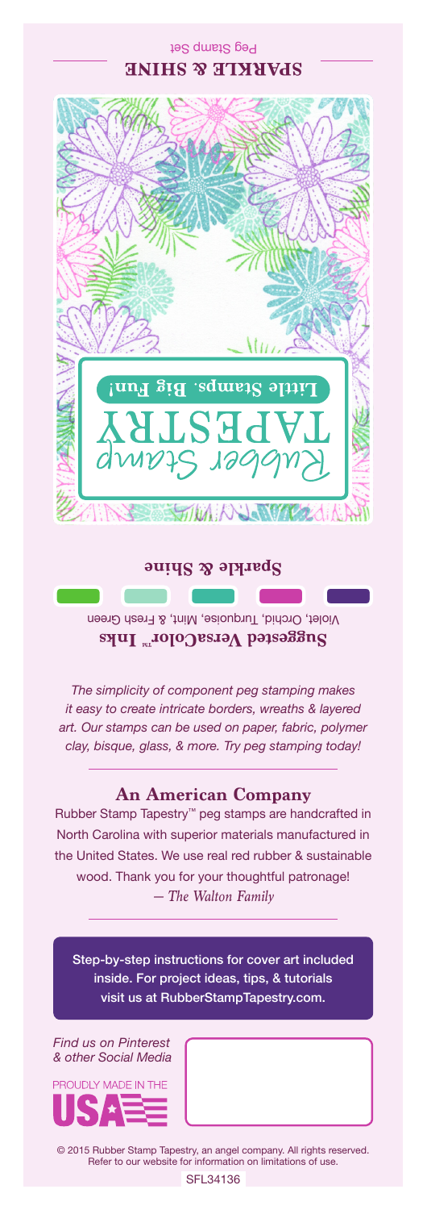## Peg Stamp Set **SPARKLE & SHINE**



#### **Sparkle & Shine**

Violet, Orchid, Turquoise, Mint, & Fresh Green Suggested VersaColor<sup>m</sup> Inks

*The simplicity of component peg stamping makes it easy to create intricate borders, wreaths & layered art. Our stamps can be used on paper, fabric, polymer clay, bisque, glass, & more. Try peg stamping today!*

## **An American Company**

*— The Walton Family* Rubber Stamp Tapestry™ peg stamps are handcrafted in North Carolina with superior materials manufactured in the United States. We use real red rubber & sustainable wood. Thank you for your thoughtful patronage!

Step-by-step instructions for cover art included inside. For project ideas, tips, & tutorials visit us at RubberStampTapestry.com.

*Find us on Pinterest & other Social Media*



© 2015 Rubber Stamp Tapestry, an angel company. All rights reserved. Refer to our website for information on limitations of use.